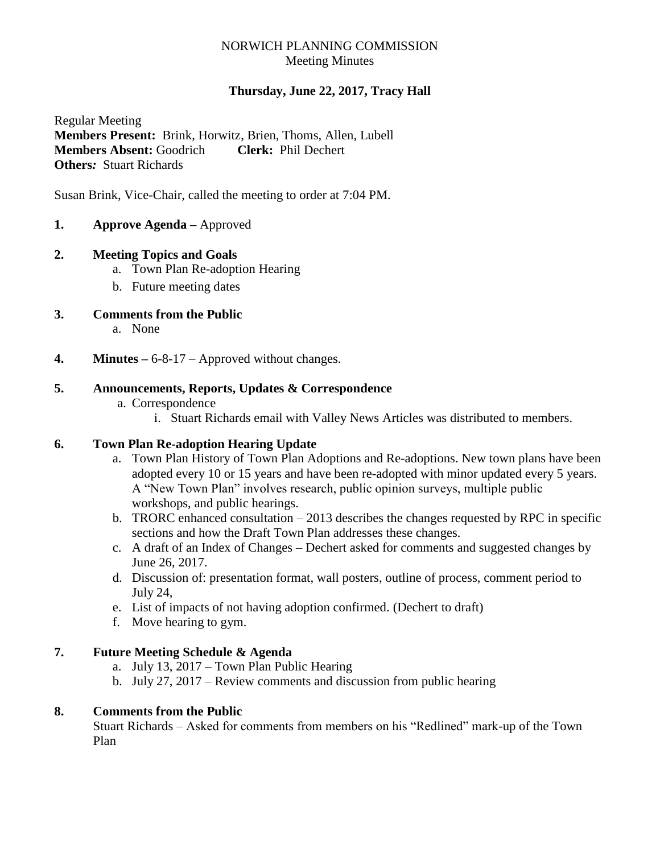# NORWICH PLANNING COMMISSION Meeting Minutes

# **Thursday, June 22, 2017, Tracy Hall**

Regular Meeting **Members Present:** Brink, Horwitz, Brien, Thoms, Allen, Lubell **Members Absent:** Goodrich **Clerk:** Phil Dechert **Others***:* Stuart Richards

Susan Brink, Vice-Chair, called the meeting to order at 7:04 PM.

**1. Approve Agenda –** Approved

# **2. Meeting Topics and Goals**

- a. Town Plan Re-adoption Hearing
- b. Future meeting dates
- **3. Comments from the Public**
	- a. None
- **4. Minutes –** 6-8-17 Approved without changes.

# **5. Announcements, Reports, Updates & Correspondence**

- a. Correspondence
	- i. Stuart Richards email with Valley News Articles was distributed to members.

### **6. Town Plan Re-adoption Hearing Update**

- a. Town Plan History of Town Plan Adoptions and Re-adoptions. New town plans have been adopted every 10 or 15 years and have been re-adopted with minor updated every 5 years. A "New Town Plan" involves research, public opinion surveys, multiple public workshops, and public hearings.
- b. TRORC enhanced consultation 2013 describes the changes requested by RPC in specific sections and how the Draft Town Plan addresses these changes.
- c. A draft of an Index of Changes Dechert asked for comments and suggested changes by June 26, 2017.
- d. Discussion of: presentation format, wall posters, outline of process, comment period to July 24,
- e. List of impacts of not having adoption confirmed. (Dechert to draft)
- f. Move hearing to gym.

# **7. Future Meeting Schedule & Agenda**

- a. July 13, 2017 Town Plan Public Hearing
- b. July 27, 2017 Review comments and discussion from public hearing

### **8. Comments from the Public**

Stuart Richards – Asked for comments from members on his "Redlined" mark-up of the Town Plan